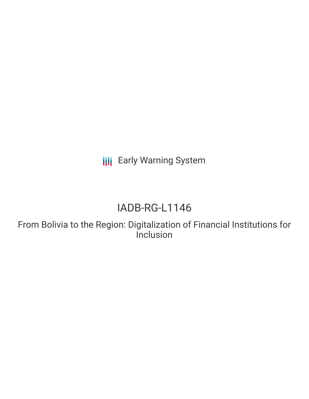**III** Early Warning System

# IADB-RG-L1146

From Bolivia to the Region: Digitalization of Financial Institutions for Inclusion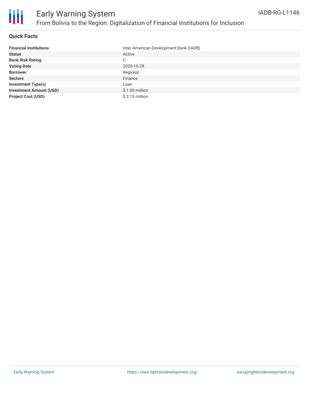

### **Quick Facts**

| <b>Financial Institutions</b>  | Inter-American Development Bank (IADB) |
|--------------------------------|----------------------------------------|
| <b>Status</b>                  | Active                                 |
| <b>Bank Risk Rating</b>        | C                                      |
| <b>Voting Date</b>             | 2020-10-28                             |
| <b>Borrower</b>                | Regional                               |
| <b>Sectors</b>                 | Finance                                |
| <b>Investment Type(s)</b>      | Loan                                   |
| <b>Investment Amount (USD)</b> | $$1.00$ million                        |
| <b>Project Cost (USD)</b>      | $$3.15$ million                        |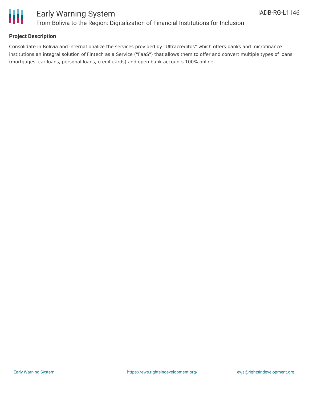

## **Project Description**

Consolidate in Bolivia and internationalize the services provided by "Ultracreditos" which offers banks and microfinance institutions an integral solution of Fintech as a Service ("FaaS") that allows them to offer and convert multiple types of loans (mortgages, car loans, personal loans, credit cards) and open bank accounts 100% online.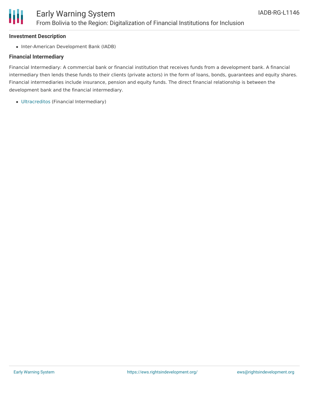# Ш

# **Investment Description**

• Inter-American Development Bank (IADB)

# **Financial Intermediary**

Financial Intermediary: A commercial bank or financial institution that receives funds from a development bank. A financial intermediary then lends these funds to their clients (private actors) in the form of loans, bonds, guarantees and equity shares. Financial intermediaries include insurance, pension and equity funds. The direct financial relationship is between the development bank and the financial intermediary.

[Ultracreditos](file:///actor/3795/) (Financial Intermediary)